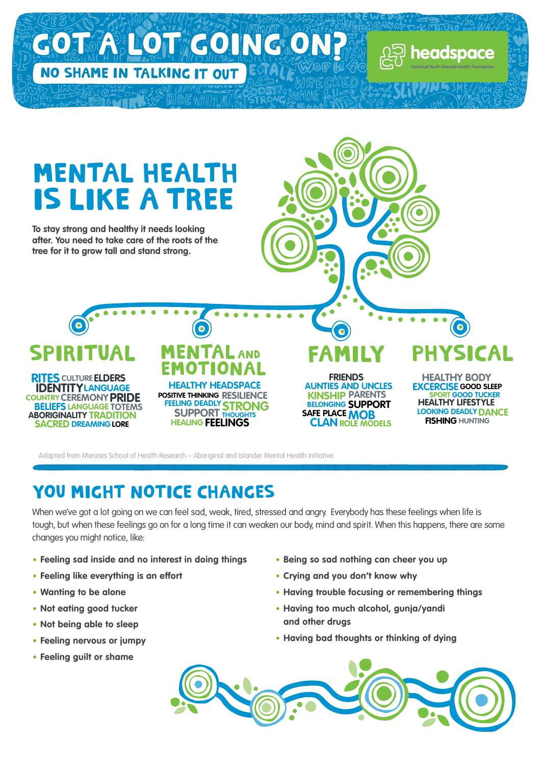

**Adapted from Menzies School of Health Research – Aboriginal and Islander Mental Health Initiative.**

## YOU MIGHT NOTICE CHANGES

When we've got a lot going on we can feel sad, weak, tired, stressed and angry. Everybody has these feelings when life is **tough, but when these feelings go on for a long time it can weaken our body, mind and spirit. When this happens, there are some changes you might notice, like:**

- **• Feeling sad inside and no interest in doing things**
- **• Feeling like everything is an effort**
- **• Wanting to be alone**
- **• Not eating good tucker**
- **• Not being able to sleep**
- **• Feeling nervous or jumpy**
- **• Feeling guilt or shame**
- **• Being so sad nothing can cheer you up**
- **• Crying and you don't know why**
- **• Having trouble focusing or remembering things**
- **• Having too much alcohol, gunja/yandi and other drugs**
- **• Having bad thoughts or thinking of dying**